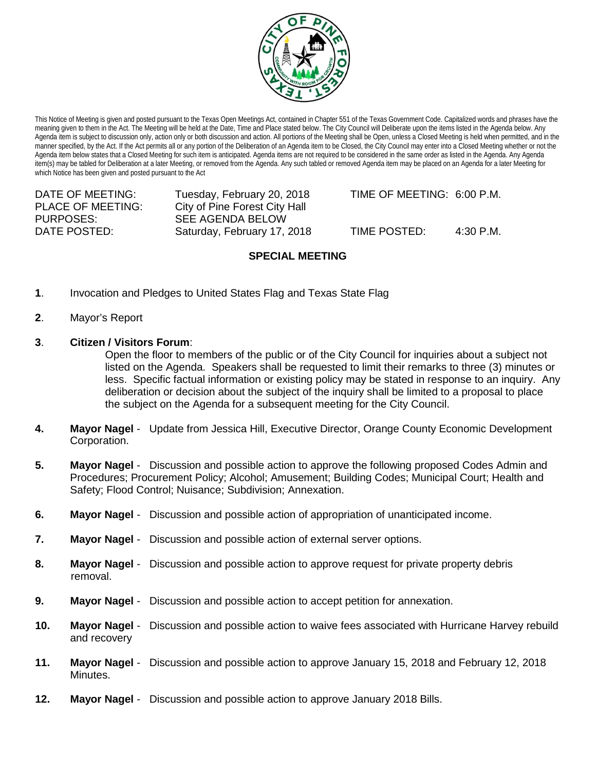

This Notice of Meeting is given and posted pursuant to the Texas Open Meetings Act, contained in Chapter 551 of the Texas Government Code. Capitalized words and phrases have the meaning given to them in the Act. The Meeting will be held at the Date, Time and Place stated below. The City Council will Deliberate upon the items listed in the Agenda below. Any Agenda item is subject to discussion only, action only or both discussion and action. All portions of the Meeting shall be Open, unless a Closed Meeting is held when permitted, and in the manner specified, by the Act. If the Act permits all or any portion of the Deliberation of an Agenda item to be Closed, the City Council may enter into a Closed Meeting whether or not the Agenda item below states that a Closed Meeting for such item is anticipated. Agenda items are not required to be considered in the same order as listed in the Agenda. Any Agenda item(s) may be tabled for Deliberation at a later Meeting, or removed from the Agenda. Any such tabled or removed Agenda item may be placed on an Agenda for a later Meeting for which Notice has been given and posted pursuant to the Act

PLACE OF MEETING: City of Pine Forest City Hall<br>PURPOSES: SEE AGENDA BELOW SEE AGENDA BELOW DATE POSTED: Saturday, February 17, 2018 TIME POSTED: 4:30 P.M.

DATE OF MEETING: Tuesday, February 20, 2018 TIME OF MEETING: 6:00 P.M.

## **SPECIAL MEETING**

- **1**. Invocation and Pledges to United States Flag and Texas State Flag
- **2**. Mayor's Report

## **3**. **Citizen / Visitors Forum**:

Open the floor to members of the public or of the City Council for inquiries about a subject not listed on the Agenda. Speakers shall be requested to limit their remarks to three (3) minutes or less. Specific factual information or existing policy may be stated in response to an inquiry. Any deliberation or decision about the subject of the inquiry shall be limited to a proposal to place the subject on the Agenda for a subsequent meeting for the City Council.

- **4. Mayor Nagel** Update from Jessica Hill, Executive Director, Orange County Economic Development Corporation.
- **5. Mayor Nagel** Discussion and possible action to approve the following proposed Codes Admin and Procedures; Procurement Policy; Alcohol; Amusement; Building Codes; Municipal Court; Health and Safety; Flood Control; Nuisance; Subdivision; Annexation.
- **6. Mayor Nagel** Discussion and possible action of appropriation of unanticipated income.
- **7. Mayor Nagel** Discussion and possible action of external server options.
- **8. Mayor Nagel**  Discussion and possible action to approve request for private property debris removal.
- **9. Mayor Nagel** Discussion and possible action to accept petition for annexation.
- **10. Mayor Nagel** Discussion and possible action to waive fees associated with Hurricane Harvey rebuild and recovery
- **11. Mayor Nagel**  Discussion and possible action to approve January 15, 2018 and February 12, 2018 Minutes.
- **12. Mayor Nagel** Discussion and possible action to approve January 2018 Bills.